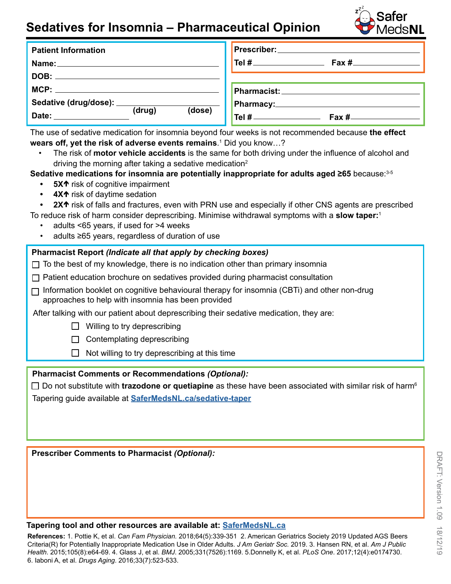## **Sedatives for Insomnia – Pharmaceutical Opinion**



| <b>Patient Information</b>                                                                                                    | Prescriber: ___________                                                           |
|-------------------------------------------------------------------------------------------------------------------------------|-----------------------------------------------------------------------------------|
| Name: ______________                                                                                                          |                                                                                   |
| DOB:<br><u> 1989 - John Harry Harry Harry Harry Harry Harry Harry Harry Harry Harry Harry Harry Harry Harry Harry Harry H</u> |                                                                                   |
| MCP:                                                                                                                          | Pharmacist: Manual Manual Manual Manual Manual Manual Manual Manual Manual Manual |
| Sedative (drug/dose): ____________                                                                                            | <b>Pharmacy:</b>                                                                  |
| $(\text{drug})$<br>(dose)<br>Date:                                                                                            | $T$ el # $T$                                                                      |

The use of sedative medication for insomnia beyond four weeks is not recommended because **the effect**  wears off, yet the risk of adverse events remains.<sup>1</sup> Did you know...?

• The risk of **motor vehicle accidents** is the same for both driving under the infuence of alcohol and driving the morning after taking a sedative medication<sup>2</sup>

## Sedative medications for insomnia are potentially inappropriate for adults aged ≥65 because:<sup>3-5</sup>

- **5X<sup>** $\uparrow$ **</sup> risk of cognitive impairment**
- **4X<sup>** $\uparrow$ **</sup>** risk of daytime sedation
- **2X<sup>** $\uparrow$ **</sup>** risk of falls and fractures, even with PRN use and especially if other CNS agents are prescribed To reduce risk of harm consider deprescribing. Minimise withdrawal symptoms with a **slow taper:**<sup>1</sup>
	- adults <65 years, if used for >4 weeks
	- adults  $≥65$  years, regardless of duration of use

## **Pharmacist Report** *(Indicate all that apply by checking boxes)*

- $\Box$  To the best of my knowledge, there is no indication other than primary insomnia
- $\Box$  Patient education brochure on sedatives provided during pharmacist consultation
- $\Box$  Information booklet on cognitive behavioural therapy for insomnia (CBTi) and other non-drug approaches to help with insomnia has been provided

After talking with our patient about deprescribing their sedative medication, they are:

- $\Box$  Willing to try deprescribing
- $\Box$  Contemplating deprescribing
- $\Box$  Not willing to try deprescribing at this time

**Pharmacist Comments or Recommendations** *(Optional):*

Do not substitute with **trazodone or quetiapine** as these have been associated with similar risk of harm6 Tapering guide available at **[SaferMedsNL.ca/sedative-taper](https://safermedsnl.ca/sedative-taper)**

**Prescriber Comments to Pharmacist** *(Optional):*

## **Tapering tool and other resources are available at: [SaferMedsNL.ca](https://safermedsnl.ca/)**

**References:** 1. Pottie K, et al. *Can Fam Physician.* 2018;64(5):339-351 2. American Geriatrics Society 2019 Updated AGS Beers Criteria(R) for Potentially Inappropriate Medication Use in Older Adults. *J Am Geriatr Soc.* 2019. 3. Hansen RN, et al. *Am J Public Health*. 2015;105(8):e64-69. 4. Glass J, et al. *BMJ*. 2005;331(7526):1169. 5.Donnelly K, et al. *PLoS One*. 2017;12(4):e0174730. 6. Iaboni A, et al. *Drugs Aging*. 2016;33(7):523-533.